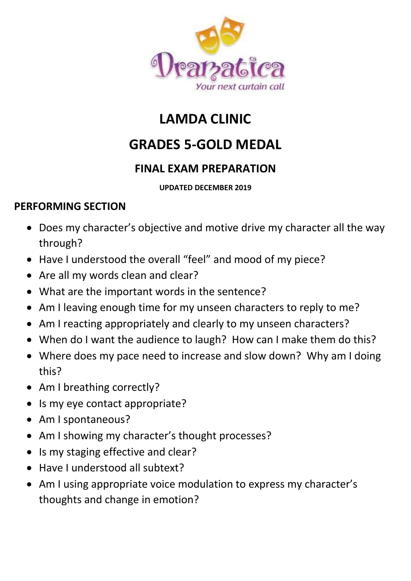

# **LAMDA CLINIC**

## **GRADES 5-GOLD MEDAL**

### **FINAL EXAM PREPARATION**

#### **UPDATED DECEMBER 2019**

#### **PERFORMING SECTION**

- Does my character's objective and motive drive my character all the way through?
- Have I understood the overall "feel" and mood of my piece?
- Are all my words clean and clear?
- What are the important words in the sentence?
- Am I leaving enough time for my unseen characters to reply to me?
- Am I reacting appropriately and clearly to my unseen characters?
- When do I want the audience to laugh? How can I make them do this?
- Where does my pace need to increase and slow down? Why am I doing this?
- Am I breathing correctly?
- Is my eye contact appropriate?
- Am I spontaneous?
- Am I showing my character's thought processes?
- Is my staging effective and clear?
- Have I understood all subtext?
- Am I using appropriate voice modulation to express my character's thoughts and change in emotion?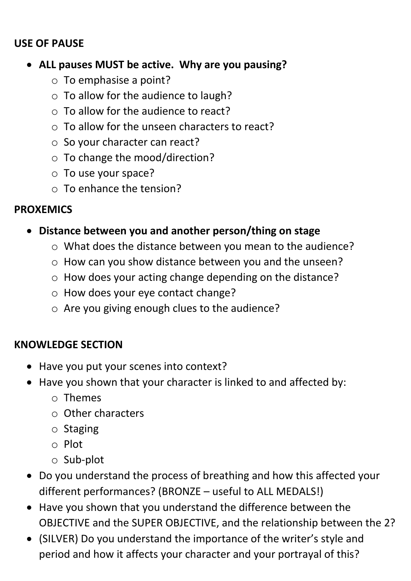#### **USE OF PAUSE**

#### • **ALL pauses MUST be active. Why are you pausing?**

- o To emphasise a point?
- o To allow for the audience to laugh?
- $\circ$  To allow for the audience to react?
- o To allow for the unseen characters to react?
- o So your character can react?
- o To change the mood/direction?
- o To use your space?
- o To enhance the tension?

#### **PROXEMICS**

- **Distance between you and another person/thing on stage**
	- o What does the distance between you mean to the audience?
	- o How can you show distance between you and the unseen?
	- o How does your acting change depending on the distance?
	- o How does your eye contact change?
	- o Are you giving enough clues to the audience?

### **KNOWLEDGE SECTION**

- Have you put your scenes into context?
- Have you shown that your character is linked to and affected by:
	- o Themes
	- o Other characters
	- o Staging
	- o Plot
	- o Sub-plot
- Do you understand the process of breathing and how this affected your different performances? (BRONZE – useful to ALL MEDALS!)
- Have you shown that you understand the difference between the OBJECTIVE and the SUPER OBJECTIVE, and the relationship between the 2?
- (SILVER) Do you understand the importance of the writer's style and period and how it affects your character and your portrayal of this?